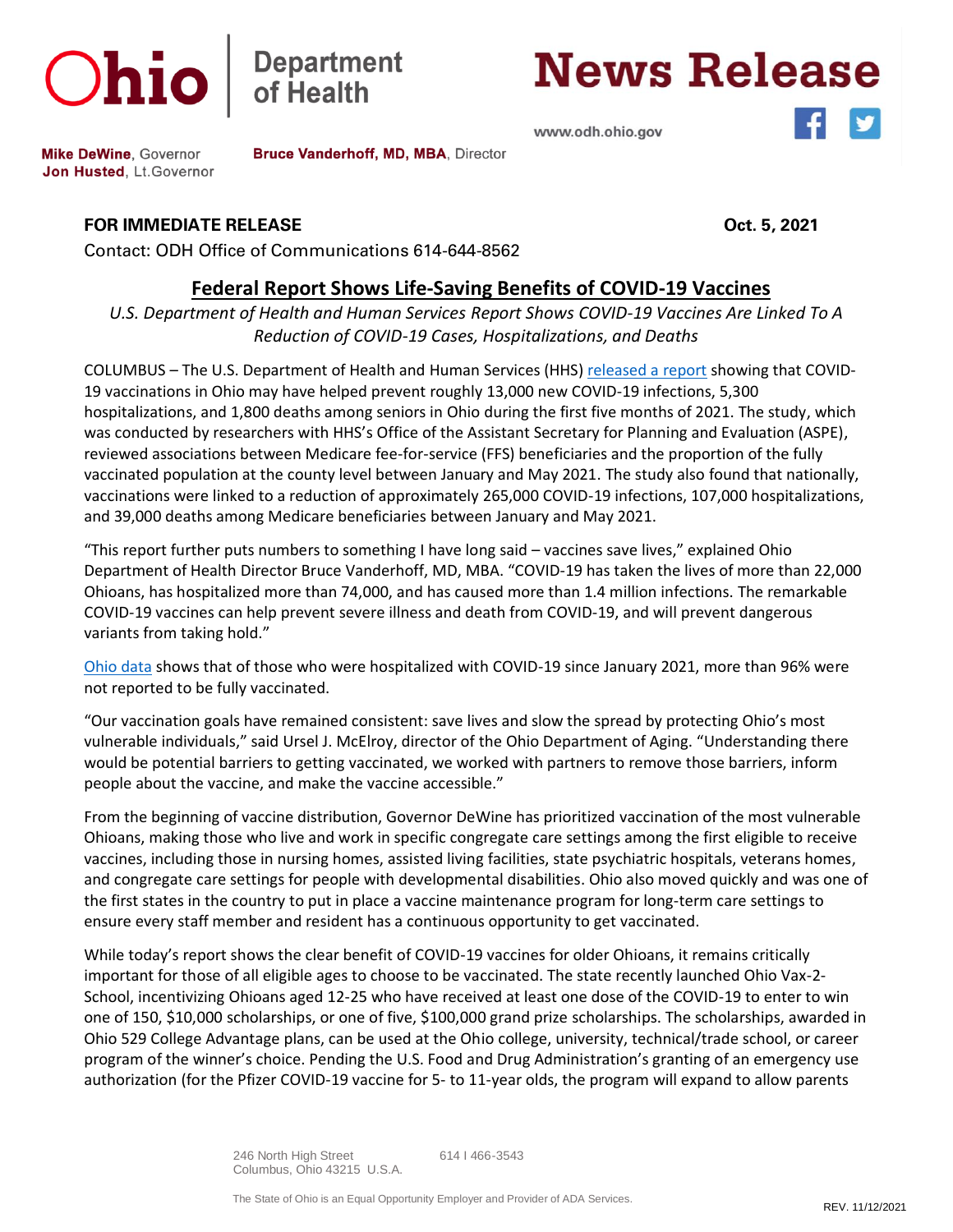



Bruce Vanderhoff, MD, MBA, Director

## **News Release**

www.odh.ohio.gov



**Mike DeWine, Governor** Jon Husted, Lt. Governor

**FOR IMMEDIATE RELEASE Oct. 5, 2021**

Contact: ODH Office of Communications 614-644-8562

## **Federal Report Shows Life-Saving Benefits of COVID-19 Vaccines**

*U.S. Department of Health and Human Services Report Shows COVID-19 Vaccines Are Linked To A Reduction of COVID-19 Cases, Hospitalizations, and Deaths*

COLUMBUS – The U.S. Department of Health and Human Services (HHS[\) released a report](https://aspe.hhs.gov/reports/covid-19-vaccination-rates-outcomes) showing that COVID-19 vaccinations in Ohio may have helped prevent roughly 13,000 new COVID-19 infections, 5,300 hospitalizations, and 1,800 deaths among seniors in Ohio during the first five months of 2021. The study, which was conducted by researchers with HHS's Office of the Assistant Secretary for Planning and Evaluation (ASPE), reviewed associations between Medicare fee-for-service (FFS) beneficiaries and the proportion of the fully vaccinated population at the county level between January and May 2021. The study also found that nationally, vaccinations were linked to a reduction of approximately 265,000 COVID-19 infections, 107,000 hospitalizations, and 39,000 deaths among Medicare beneficiaries between January and May 2021.

"This report further puts numbers to something I have long said – vaccines save lives," explained Ohio Department of Health Director Bruce Vanderhoff, MD, MBA. "COVID-19 has taken the lives of more than 22,000 Ohioans, has hospitalized more than 74,000, and has caused more than 1.4 million infections. The remarkable COVID-19 vaccines can help prevent severe illness and death from COVID-19, and will prevent dangerous variants from taking hold."

[Ohio data](https://coronavirus.ohio.gov/wps/portal/gov/covid-19/dashboards/covid-19-vaccine/breakthrough-dashboard) shows that of those who were hospitalized with COVID-19 since January 2021, more than 96% were not reported to be fully vaccinated.

"Our vaccination goals have remained consistent: save lives and slow the spread by protecting Ohio's most vulnerable individuals," said Ursel J. McElroy, director of the Ohio Department of Aging. "Understanding there would be potential barriers to getting vaccinated, we worked with partners to remove those barriers, inform people about the vaccine, and make the vaccine accessible."

From the beginning of vaccine distribution, Governor DeWine has prioritized vaccination of the most vulnerable Ohioans, making those who live and work in specific congregate care settings among the first eligible to receive vaccines, including those in nursing homes, assisted living facilities, state psychiatric hospitals, veterans homes, and congregate care settings for people with developmental disabilities. Ohio also moved quickly and was one of the first states in the country to put in place a vaccine maintenance program for long-term care settings to ensure every staff member and resident has a continuous opportunity to get vaccinated.

While today's report shows the clear benefit of COVID-19 vaccines for older Ohioans, it remains critically important for those of all eligible ages to choose to be vaccinated. The state recently launched Ohio Vax-2- School, incentivizing Ohioans aged 12-25 who have received at least one dose of the COVID-19 to enter to win one of 150, \$10,000 scholarships, or one of five, \$100,000 grand prize scholarships. The scholarships, awarded in Ohio 529 College Advantage plans, can be used at the Ohio college, university, technical/trade school, or career program of the winner's choice. Pending the U.S. Food and Drug Administration's granting of an emergency use authorization (for the Pfizer COVID-19 vaccine for 5- to 11-year olds, the program will expand to allow parents

> 246 North High Street 614 I 466-3543 Columbus, Ohio 43215 U.S.A.